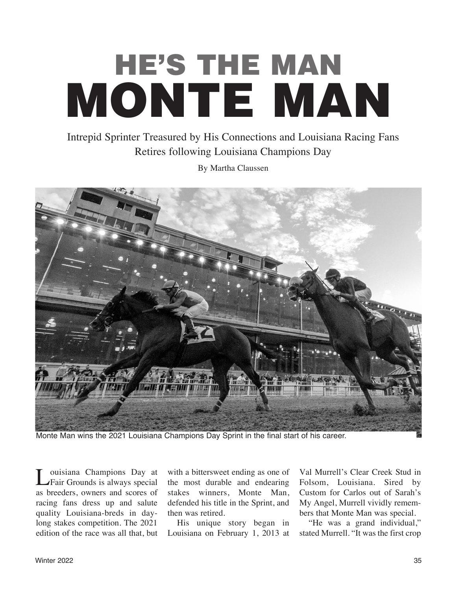## **HE'S THE MAN MONTE MAN**

## Intrepid Sprinter Treasured by His Connections and Louisiana Racing Fans Retires following Louisiana Champions Day

By Martha Claussen



Monte Man wins the 2021 Louisiana Champions Day Sprint in the final start of his career.

Louisiana Champions Day at<br>Fair Grounds is always special as breeders, owners and scores of racing fans dress up and salute quality Louisiana-breds in daylong stakes competition. The 2021 edition of the race was all that, but with a bittersweet ending as one of the most durable and endearing stakes winners, Monte Man, defended his title in the Sprint, and then was retired.

His unique story began in Louisiana on February 1, 2013 at

Val Murrell's Clear Creek Stud in Folsom, Louisiana. Sired by Custom for Carlos out of Sarah's My Angel, Murrell vividly remembers that Monte Man was special.

"He was a grand individual," stated Murrell. "It was the first crop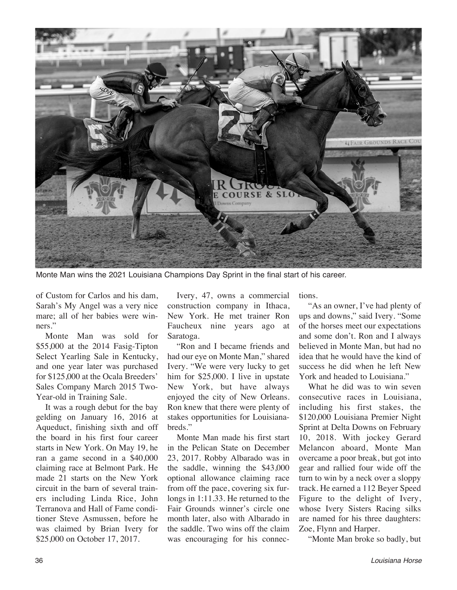

Monte Man wins the 2021 Louisiana Champions Day Sprint in the final start of his career.

of Custom for Carlos and his dam, Sarah's My Angel was a very nice mare; all of her babies were winners."

Monte Man was sold for \$55,000 at the 2014 Fasig-Tipton Select Yearling Sale in Kentucky, and one year later was purchased for \$125,000 at the Ocala Breeders' Sales Company March 2015 Two-Year-old in Training Sale.

It was a rough debut for the bay gelding on January 16, 2016 at Aqueduct, finishing sixth and off the board in his first four career starts in New York. On May 19, he ran a game second in a \$40,000 claiming race at Belmont Park. He made 21 starts on the New York circuit in the barn of several trainers including Linda Rice, John Terranova and Hall of Fame conditioner Steve Asmussen, before he was claimed by Brian Ivery for \$25,000 on October 17, 2017.

Ivery, 47, owns a commercial construction company in Ithaca, New York. He met trainer Ron Faucheux nine years ago at Saratoga.

"Ron and I became friends and had our eye on Monte Man," shared Ivery. "We were very lucky to get him for \$25,000. I live in upstate New York, but have always enjoyed the city of New Orleans. Ron knew that there were plenty of stakes opportunities for Louisianabreds."

Monte Man made his first start in the Pelican State on December 23, 2017. Robby Albarado was in the saddle, winning the \$43,000 optional allowance claiming race from off the pace, covering six furlongs in 1:11.33. He returned to the Fair Grounds winner's circle one month later, also with Albarado in the saddle. Two wins off the claim was encouraging for his connections.

"As an owner, I've had plenty of ups and downs," said Ivery. "Some of the horses meet our expectations and some don't. Ron and I always believed in Monte Man, but had no idea that he would have the kind of success he did when he left New York and headed to Louisiana."

What he did was to win seven consecutive races in Louisiana, including his first stakes, the \$120,000 Louisiana Premier Night Sprint at Delta Downs on February 10, 2018. With jockey Gerard Melancon aboard, Monte Man overcame a poor break, but got into gear and rallied four wide off the turn to win by a neck over a sloppy track. He earned a 112 Beyer Speed Figure to the delight of Ivery, whose Ivery Sisters Racing silks are named for his three daughters: Zoe, Flynn and Harper.

"Monte Man broke so badly, but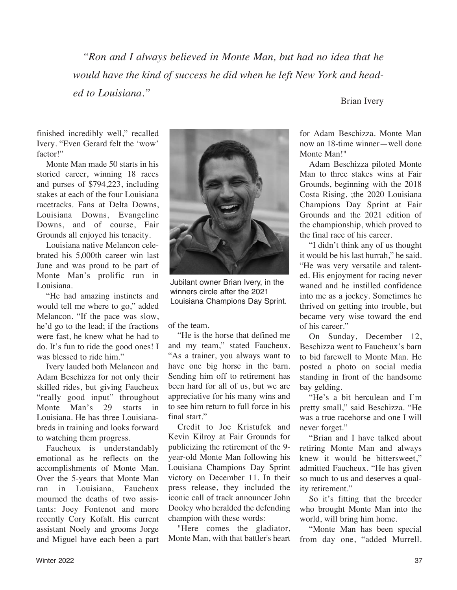*"Ron and I always believed in Monte Man, but had no idea that he would have the kind of success he did when he left New York and headed to Louisiana."*

Brian Ivery

finished incredibly well," recalled Ivery. "Even Gerard felt the 'wow' factor!"

Monte Man made 50 starts in his storied career, winning 18 races and purses of \$794,223, including stakes at each of the four Louisiana racetracks. Fans at Delta Downs, Louisiana Downs, Evangeline Downs, and of course, Fair Grounds all enjoyed his tenacity.

Louisiana native Melancon celebrated his 5,000th career win last June and was proud to be part of Monte Man's prolific run in Louisiana.

"He had amazing instincts and would tell me where to go," added Melancon. "If the pace was slow, he'd go to the lead; if the fractions were fast, he knew what he had to do. It's fun to ride the good ones! I was blessed to ride him."

Ivery lauded both Melancon and Adam Beschizza for not only their skilled rides, but giving Faucheux "really good input" throughout Monte Man's 29 starts in Louisiana. He has three Louisianabreds in training and looks forward to watching them progress.

Faucheux is understandably emotional as he reflects on the accomplishments of Monte Man. Over the 5-years that Monte Man ran in Louisiana, Faucheux mourned the deaths of two assistants: Joey Fontenot and more recently Cory Kofalt. His current assistant Noely and grooms Jorge and Miguel have each been a part



Jubilant owner Brian Ivery, in the winners circle after the 2021 Louisiana Champions Day Sprint.

of the team.

"He is the horse that defined me and my team," stated Faucheux. "As a trainer, you always want to have one big horse in the barn. Sending him off to retirement has been hard for all of us, but we are appreciative for his many wins and to see him return to full force in his final start."

Credit to Joe Kristufek and Kevin Kilroy at Fair Grounds for publicizing the retirement of the 9 year-old Monte Man following his Louisiana Champions Day Sprint victory on December 11. In their press release, they included the iconic call of track announcer John Dooley who heralded the defending champion with these words:

"Here comes the gladiator, Monte Man, with that battler's heart for Adam Beschizza. Monte Man now an 18-time winner—well done Monte Man!"

Adam Beschizza piloted Monte Man to three stakes wins at Fair Grounds, beginning with the 2018 Costa Rising, ;the 2020 Louisiana Champions Day Sprint at Fair Grounds and the 2021 edition of the championship, which proved to the final race of his career.

"I didn't think any of us thought it would be his last hurrah," he said. "He was very versatile and talented. His enjoyment for racing never waned and he instilled confidence into me as a jockey. Sometimes he thrived on getting into trouble, but became very wise toward the end of his career."

On Sunday, December 12, Beschizza went to Faucheux's barn to bid farewell to Monte Man. He posted a photo on social media standing in front of the handsome bay gelding.

"He's a bit herculean and I'm pretty small," said Beschizza. "He was a true racehorse and one I will never forget."

"Brian and I have talked about retiring Monte Man and always knew it would be bittersweet," admitted Faucheux. "He has given so much to us and deserves a quality retirement."

So it's fitting that the breeder who brought Monte Man into the world, will bring him home.

"Monte Man has been special from day one, "added Murrell.